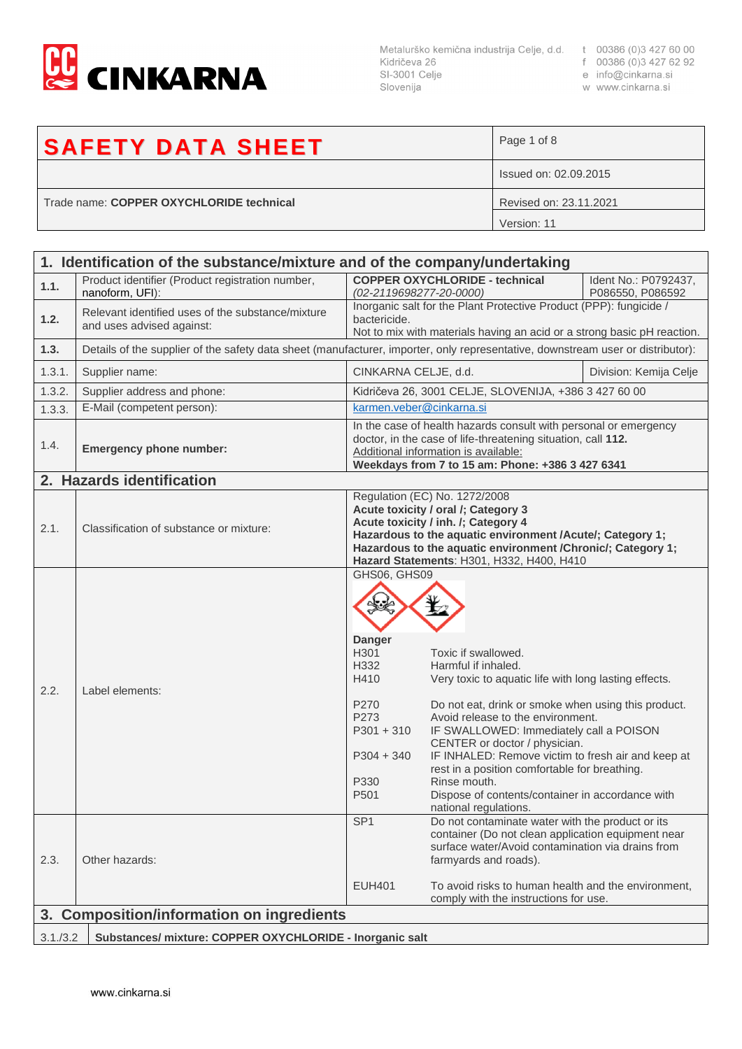

SI-3001 Celje Slovenija

- 
- 
- w www.cinkarna.si

## **SAFETY DATA SHEET** Page 1 of 8 Issued on: 02.09.2015 Trade name: **COPPER OXYCHLORIDE technical** Revised on: 23.11.2021 Version: 11

| 1. Identification of the substance/mixture and of the company/undertaking |                                                                                                                                 |                                                                                                                                   |                                                                                                                                                                                                                                                                                                                                                                                                                                                                                 |                                          |
|---------------------------------------------------------------------------|---------------------------------------------------------------------------------------------------------------------------------|-----------------------------------------------------------------------------------------------------------------------------------|---------------------------------------------------------------------------------------------------------------------------------------------------------------------------------------------------------------------------------------------------------------------------------------------------------------------------------------------------------------------------------------------------------------------------------------------------------------------------------|------------------------------------------|
| 1.1.                                                                      | Product identifier (Product registration number,<br>nanoform, UFI):                                                             | (02-2119698277-20-0000)                                                                                                           | <b>COPPER OXYCHLORIDE - technical</b>                                                                                                                                                                                                                                                                                                                                                                                                                                           | Ident No.: P0792437,<br>P086550, P086592 |
| 1.2.                                                                      | Relevant identified uses of the substance/mixture<br>and uses advised against:                                                  | bactericide.                                                                                                                      | Inorganic salt for the Plant Protective Product (PPP): fungicide /<br>Not to mix with materials having an acid or a strong basic pH reaction.                                                                                                                                                                                                                                                                                                                                   |                                          |
| 1.3.                                                                      | Details of the supplier of the safety data sheet (manufacturer, importer, only representative, downstream user or distributor): |                                                                                                                                   |                                                                                                                                                                                                                                                                                                                                                                                                                                                                                 |                                          |
| 1.3.1.                                                                    | Supplier name:                                                                                                                  | CINKARNA CELJE, d.d.                                                                                                              |                                                                                                                                                                                                                                                                                                                                                                                                                                                                                 | Division: Kemija Celje                   |
| 1.3.2.                                                                    | Supplier address and phone:                                                                                                     |                                                                                                                                   | Kidričeva 26, 3001 CELJE, SLOVENIJA, +386 3 427 60 00                                                                                                                                                                                                                                                                                                                                                                                                                           |                                          |
| 1.3.3.                                                                    | E-Mail (competent person):                                                                                                      | karmen.veber@cinkarna.si                                                                                                          |                                                                                                                                                                                                                                                                                                                                                                                                                                                                                 |                                          |
| 1.4.                                                                      | <b>Emergency phone number:</b>                                                                                                  |                                                                                                                                   | In the case of health hazards consult with personal or emergency<br>doctor, in the case of life-threatening situation, call 112.<br>Additional information is available:<br>Weekdays from 7 to 15 am: Phone: +386 3 427 6341                                                                                                                                                                                                                                                    |                                          |
|                                                                           | 2. Hazards identification                                                                                                       |                                                                                                                                   |                                                                                                                                                                                                                                                                                                                                                                                                                                                                                 |                                          |
| 2.1.                                                                      | Classification of substance or mixture:                                                                                         |                                                                                                                                   | Regulation (EC) No. 1272/2008<br>Acute toxicity / oral /; Category 3<br>Acute toxicity / inh. /; Category 4<br>Hazardous to the aquatic environment /Acute/; Category 1;<br>Hazardous to the aquatic environment / Chronic/; Category 1;<br>Hazard Statements: H301, H332, H400, H410                                                                                                                                                                                           |                                          |
| 2.2.                                                                      | Label elements:                                                                                                                 | GHS06, GHS09<br><b>Danger</b><br>H301<br>H332<br>H410<br>P270<br>P273<br>$P301 + 310$<br>$P304 + 340$<br>P330<br>P <sub>501</sub> | Toxic if swallowed.<br>Harmful if inhaled.<br>Very toxic to aquatic life with long lasting effects.<br>Do not eat, drink or smoke when using this product.<br>Avoid release to the environment.<br>IF SWALLOWED: Immediately call a POISON<br>CENTER or doctor / physician.<br>IF INHALED: Remove victim to fresh air and keep at<br>rest in a position comfortable for breathing.<br>Rinse mouth.<br>Dispose of contents/container in accordance with<br>national regulations. |                                          |
| 2.3.                                                                      | Other hazards:                                                                                                                  | SP <sub>1</sub><br><b>EUH401</b>                                                                                                  | Do not contaminate water with the product or its<br>container (Do not clean application equipment near<br>surface water/Avoid contamination via drains from<br>farmyards and roads).<br>To avoid risks to human health and the environment,<br>comply with the instructions for use.                                                                                                                                                                                            |                                          |
| <b>Composition/information on ingredients</b><br>3.                       |                                                                                                                                 |                                                                                                                                   |                                                                                                                                                                                                                                                                                                                                                                                                                                                                                 |                                          |
|                                                                           |                                                                                                                                 |                                                                                                                                   |                                                                                                                                                                                                                                                                                                                                                                                                                                                                                 |                                          |
| 3.1./3.2<br>Substances/ mixture: COPPER OXYCHLORIDE - Inorganic salt      |                                                                                                                                 |                                                                                                                                   |                                                                                                                                                                                                                                                                                                                                                                                                                                                                                 |                                          |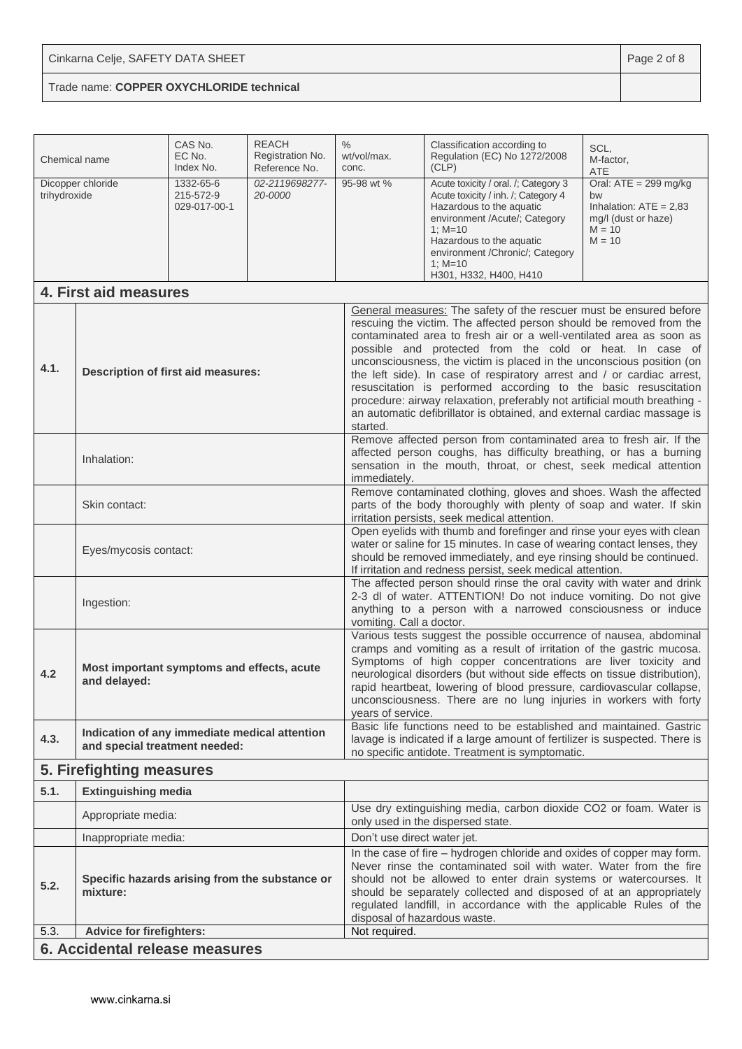| Chemical name                              |                                                                                | CAS No.<br>EC No.<br>Index No.         | <b>REACH</b><br>Registration No.<br>Reference No.                                                                                                                                                                                                                                                                                                                                                                                                                                                                                                                                                                                                          | $\%$<br>wt/vol/max.<br>conc.                                                                                                                                                                                                                                                                                                                                                                                                           | Classification according to<br>Regulation (EC) No 1272/2008<br>(CLP)                                                                                                                                                                                                                                                                                        | SCL,<br>M-factor,<br><b>ATE</b>                                                                          |
|--------------------------------------------|--------------------------------------------------------------------------------|----------------------------------------|------------------------------------------------------------------------------------------------------------------------------------------------------------------------------------------------------------------------------------------------------------------------------------------------------------------------------------------------------------------------------------------------------------------------------------------------------------------------------------------------------------------------------------------------------------------------------------------------------------------------------------------------------------|----------------------------------------------------------------------------------------------------------------------------------------------------------------------------------------------------------------------------------------------------------------------------------------------------------------------------------------------------------------------------------------------------------------------------------------|-------------------------------------------------------------------------------------------------------------------------------------------------------------------------------------------------------------------------------------------------------------------------------------------------------------------------------------------------------------|----------------------------------------------------------------------------------------------------------|
| trihydroxide                               | Dicopper chloride                                                              | 1332-65-6<br>215-572-9<br>029-017-00-1 | 02-2119698277-<br>20-0000                                                                                                                                                                                                                                                                                                                                                                                                                                                                                                                                                                                                                                  | 95-98 wt %                                                                                                                                                                                                                                                                                                                                                                                                                             | Acute toxicity / oral. /; Category 3<br>Acute toxicity / inh. /; Category 4<br>Hazardous to the aquatic<br>environment /Acute/; Category<br>$1: M = 10$<br>Hazardous to the aquatic<br>environment / Chronic/; Category<br>$1: M=10$<br>H301, H332, H400, H410                                                                                              | Oral: $ATE = 299$ mg/kg<br>bw<br>Inhalation: $ATE = 2,83$<br>mg/l (dust or haze)<br>$M = 10$<br>$M = 10$ |
|                                            | 4. First aid measures                                                          |                                        |                                                                                                                                                                                                                                                                                                                                                                                                                                                                                                                                                                                                                                                            |                                                                                                                                                                                                                                                                                                                                                                                                                                        |                                                                                                                                                                                                                                                                                                                                                             |                                                                                                          |
| 4.1.<br>Description of first aid measures: |                                                                                | started.                               | General measures: The safety of the rescuer must be ensured before<br>rescuing the victim. The affected person should be removed from the<br>contaminated area to fresh air or a well-ventilated area as soon as<br>possible and protected from the cold or heat. In case of<br>unconsciousness, the victim is placed in the unconscious position (on<br>the left side). In case of respiratory arrest and / or cardiac arrest,<br>resuscitation is performed according to the basic resuscitation<br>procedure: airway relaxation, preferably not artificial mouth breathing -<br>an automatic defibrillator is obtained, and external cardiac massage is |                                                                                                                                                                                                                                                                                                                                                                                                                                        |                                                                                                                                                                                                                                                                                                                                                             |                                                                                                          |
|                                            | Inhalation:                                                                    |                                        | immediately.                                                                                                                                                                                                                                                                                                                                                                                                                                                                                                                                                                                                                                               | Remove affected person from contaminated area to fresh air. If the<br>affected person coughs, has difficulty breathing, or has a burning<br>sensation in the mouth, throat, or chest, seek medical attention                                                                                                                                                                                                                           |                                                                                                                                                                                                                                                                                                                                                             |                                                                                                          |
|                                            | Skin contact:                                                                  |                                        |                                                                                                                                                                                                                                                                                                                                                                                                                                                                                                                                                                                                                                                            | Remove contaminated clothing, gloves and shoes. Wash the affected<br>parts of the body thoroughly with plenty of soap and water. If skin<br>irritation persists, seek medical attention.                                                                                                                                                                                                                                               |                                                                                                                                                                                                                                                                                                                                                             |                                                                                                          |
|                                            | Eyes/mycosis contact:                                                          |                                        |                                                                                                                                                                                                                                                                                                                                                                                                                                                                                                                                                                                                                                                            | Open eyelids with thumb and forefinger and rinse your eyes with clean<br>water or saline for 15 minutes. In case of wearing contact lenses, they<br>should be removed immediately, and eye rinsing should be continued.<br>If irritation and redness persist, seek medical attention.                                                                                                                                                  |                                                                                                                                                                                                                                                                                                                                                             |                                                                                                          |
|                                            | Ingestion:                                                                     |                                        | vomiting. Call a doctor.                                                                                                                                                                                                                                                                                                                                                                                                                                                                                                                                                                                                                                   | The affected person should rinse the oral cavity with water and drink<br>2-3 dl of water. ATTENTION! Do not induce vomiting. Do not give<br>anything to a person with a narrowed consciousness or induce                                                                                                                                                                                                                               |                                                                                                                                                                                                                                                                                                                                                             |                                                                                                          |
| 4.2                                        | Most important symptoms and effects, acute<br>and delayed:                     |                                        | years of service.                                                                                                                                                                                                                                                                                                                                                                                                                                                                                                                                                                                                                                          | Various tests suggest the possible occurrence of nausea, abdominal<br>cramps and vomiting as a result of irritation of the gastric mucosa.<br>Symptoms of high copper concentrations are liver toxicity and<br>neurological disorders (but without side effects on tissue distribution),<br>rapid heartbeat, lowering of blood pressure, cardiovascular collapse,<br>unconsciousness. There are no lung injuries in workers with forty |                                                                                                                                                                                                                                                                                                                                                             |                                                                                                          |
| 4.3.                                       | Indication of any immediate medical attention<br>and special treatment needed: |                                        |                                                                                                                                                                                                                                                                                                                                                                                                                                                                                                                                                                                                                                                            | Basic life functions need to be established and maintained. Gastric<br>lavage is indicated if a large amount of fertilizer is suspected. There is<br>no specific antidote. Treatment is symptomatic.                                                                                                                                                                                                                                   |                                                                                                                                                                                                                                                                                                                                                             |                                                                                                          |
|                                            | 5. Firefighting measures                                                       |                                        |                                                                                                                                                                                                                                                                                                                                                                                                                                                                                                                                                                                                                                                            |                                                                                                                                                                                                                                                                                                                                                                                                                                        |                                                                                                                                                                                                                                                                                                                                                             |                                                                                                          |
| 5.1.                                       | <b>Extinguishing media</b>                                                     |                                        |                                                                                                                                                                                                                                                                                                                                                                                                                                                                                                                                                                                                                                                            |                                                                                                                                                                                                                                                                                                                                                                                                                                        |                                                                                                                                                                                                                                                                                                                                                             |                                                                                                          |
|                                            | Appropriate media:                                                             |                                        |                                                                                                                                                                                                                                                                                                                                                                                                                                                                                                                                                                                                                                                            |                                                                                                                                                                                                                                                                                                                                                                                                                                        | Use dry extinguishing media, carbon dioxide CO2 or foam. Water is<br>only used in the dispersed state.                                                                                                                                                                                                                                                      |                                                                                                          |
|                                            | Inappropriate media:                                                           |                                        |                                                                                                                                                                                                                                                                                                                                                                                                                                                                                                                                                                                                                                                            | Don't use direct water jet.                                                                                                                                                                                                                                                                                                                                                                                                            |                                                                                                                                                                                                                                                                                                                                                             |                                                                                                          |
| 5.2.                                       | Specific hazards arising from the substance or<br>mixture:                     |                                        |                                                                                                                                                                                                                                                                                                                                                                                                                                                                                                                                                                                                                                                            | disposal of hazardous waste.                                                                                                                                                                                                                                                                                                                                                                                                           | In the case of fire - hydrogen chloride and oxides of copper may form.<br>Never rinse the contaminated soil with water. Water from the fire<br>should not be allowed to enter drain systems or watercourses. It<br>should be separately collected and disposed of at an appropriately<br>regulated landfill, in accordance with the applicable Rules of the |                                                                                                          |
| 5.3.                                       | <b>Advice for firefighters:</b>                                                |                                        |                                                                                                                                                                                                                                                                                                                                                                                                                                                                                                                                                                                                                                                            | Not required.                                                                                                                                                                                                                                                                                                                                                                                                                          |                                                                                                                                                                                                                                                                                                                                                             |                                                                                                          |
|                                            | 6. Accidental release measures                                                 |                                        |                                                                                                                                                                                                                                                                                                                                                                                                                                                                                                                                                                                                                                                            |                                                                                                                                                                                                                                                                                                                                                                                                                                        |                                                                                                                                                                                                                                                                                                                                                             |                                                                                                          |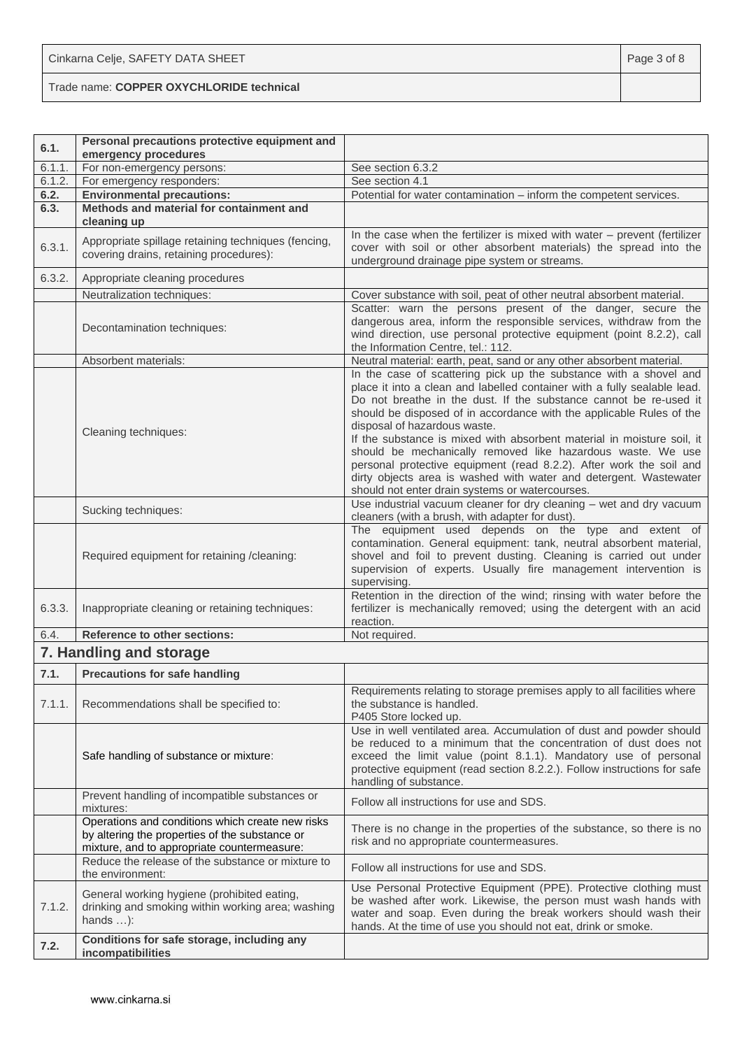Trade name: **COPPER OXYCHLORIDE technical**

| 6.1.   | Personal precautions protective equipment and<br>emergency procedures                                                                             |                                                                                                                                                                                                                                                                                                                                                                                                                                                                                                                                                                                                                                                                    |
|--------|---------------------------------------------------------------------------------------------------------------------------------------------------|--------------------------------------------------------------------------------------------------------------------------------------------------------------------------------------------------------------------------------------------------------------------------------------------------------------------------------------------------------------------------------------------------------------------------------------------------------------------------------------------------------------------------------------------------------------------------------------------------------------------------------------------------------------------|
| 6.1.1. | For non-emergency persons:                                                                                                                        | See section 6.3.2                                                                                                                                                                                                                                                                                                                                                                                                                                                                                                                                                                                                                                                  |
| 6.1.2. | For emergency responders:                                                                                                                         | See section 4.1                                                                                                                                                                                                                                                                                                                                                                                                                                                                                                                                                                                                                                                    |
| 6.2.   | <b>Environmental precautions:</b>                                                                                                                 | Potential for water contamination - inform the competent services.                                                                                                                                                                                                                                                                                                                                                                                                                                                                                                                                                                                                 |
| 6.3.   | Methods and material for containment and<br>cleaning up                                                                                           |                                                                                                                                                                                                                                                                                                                                                                                                                                                                                                                                                                                                                                                                    |
| 6.3.1. | Appropriate spillage retaining techniques (fencing,<br>covering drains, retaining procedures):                                                    | In the case when the fertilizer is mixed with water - prevent (fertilizer<br>cover with soil or other absorbent materials) the spread into the<br>underground drainage pipe system or streams.                                                                                                                                                                                                                                                                                                                                                                                                                                                                     |
| 6.3.2. | Appropriate cleaning procedures                                                                                                                   |                                                                                                                                                                                                                                                                                                                                                                                                                                                                                                                                                                                                                                                                    |
|        | Neutralization techniques:                                                                                                                        | Cover substance with soil, peat of other neutral absorbent material.                                                                                                                                                                                                                                                                                                                                                                                                                                                                                                                                                                                               |
|        | Decontamination techniques:                                                                                                                       | Scatter: warn the persons present of the danger, secure the<br>dangerous area, inform the responsible services, withdraw from the<br>wind direction, use personal protective equipment (point 8.2.2), call<br>the Information Centre, tel.: 112.                                                                                                                                                                                                                                                                                                                                                                                                                   |
|        | Absorbent materials:                                                                                                                              | Neutral material: earth, peat, sand or any other absorbent material.                                                                                                                                                                                                                                                                                                                                                                                                                                                                                                                                                                                               |
|        | Cleaning techniques:                                                                                                                              | In the case of scattering pick up the substance with a shovel and<br>place it into a clean and labelled container with a fully sealable lead.<br>Do not breathe in the dust. If the substance cannot be re-used it<br>should be disposed of in accordance with the applicable Rules of the<br>disposal of hazardous waste.<br>If the substance is mixed with absorbent material in moisture soil, it<br>should be mechanically removed like hazardous waste. We use<br>personal protective equipment (read 8.2.2). After work the soil and<br>dirty objects area is washed with water and detergent. Wastewater<br>should not enter drain systems or watercourses. |
|        | Sucking techniques:                                                                                                                               | Use industrial vacuum cleaner for dry cleaning - wet and dry vacuum<br>cleaners (with a brush, with adapter for dust).                                                                                                                                                                                                                                                                                                                                                                                                                                                                                                                                             |
|        | Required equipment for retaining /cleaning:                                                                                                       | The equipment used depends on the type and extent of<br>contamination. General equipment: tank, neutral absorbent material,<br>shovel and foil to prevent dusting. Cleaning is carried out under<br>supervision of experts. Usually fire management intervention is<br>supervising.                                                                                                                                                                                                                                                                                                                                                                                |
| 6.3.3. | Inappropriate cleaning or retaining techniques:                                                                                                   | Retention in the direction of the wind; rinsing with water before the<br>fertilizer is mechanically removed; using the detergent with an acid<br>reaction.                                                                                                                                                                                                                                                                                                                                                                                                                                                                                                         |
| 6.4.   | <b>Reference to other sections:</b>                                                                                                               | Not required.                                                                                                                                                                                                                                                                                                                                                                                                                                                                                                                                                                                                                                                      |
|        | 7. Handling and storage                                                                                                                           |                                                                                                                                                                                                                                                                                                                                                                                                                                                                                                                                                                                                                                                                    |
| 7.1.   | <b>Precautions for safe handling</b>                                                                                                              |                                                                                                                                                                                                                                                                                                                                                                                                                                                                                                                                                                                                                                                                    |
| 7.1.1. | Recommendations shall be specified to:                                                                                                            | Requirements relating to storage premises apply to all facilities where<br>the substance is handled.<br>P405 Store locked up.                                                                                                                                                                                                                                                                                                                                                                                                                                                                                                                                      |
|        | Safe handling of substance or mixture:                                                                                                            | Use in well ventilated area. Accumulation of dust and powder should<br>be reduced to a minimum that the concentration of dust does not<br>exceed the limit value (point 8.1.1). Mandatory use of personal<br>protective equipment (read section 8.2.2.). Follow instructions for safe<br>handling of substance.                                                                                                                                                                                                                                                                                                                                                    |
|        | Prevent handling of incompatible substances or<br>mixtures:                                                                                       | Follow all instructions for use and SDS.                                                                                                                                                                                                                                                                                                                                                                                                                                                                                                                                                                                                                           |
|        | Operations and conditions which create new risks<br>by altering the properties of the substance or<br>mixture, and to appropriate countermeasure: | There is no change in the properties of the substance, so there is no<br>risk and no appropriate countermeasures.                                                                                                                                                                                                                                                                                                                                                                                                                                                                                                                                                  |
|        | Reduce the release of the substance or mixture to<br>the environment:                                                                             | Follow all instructions for use and SDS.                                                                                                                                                                                                                                                                                                                                                                                                                                                                                                                                                                                                                           |
| 7.1.2. | General working hygiene (prohibited eating,<br>drinking and smoking within working area; washing<br>hands $\dots$ :                               | Use Personal Protective Equipment (PPE). Protective clothing must<br>be washed after work. Likewise, the person must wash hands with<br>water and soap. Even during the break workers should wash their<br>hands. At the time of use you should not eat, drink or smoke.                                                                                                                                                                                                                                                                                                                                                                                           |
| 7.2.   | Conditions for safe storage, including any<br>incompatibilities                                                                                   |                                                                                                                                                                                                                                                                                                                                                                                                                                                                                                                                                                                                                                                                    |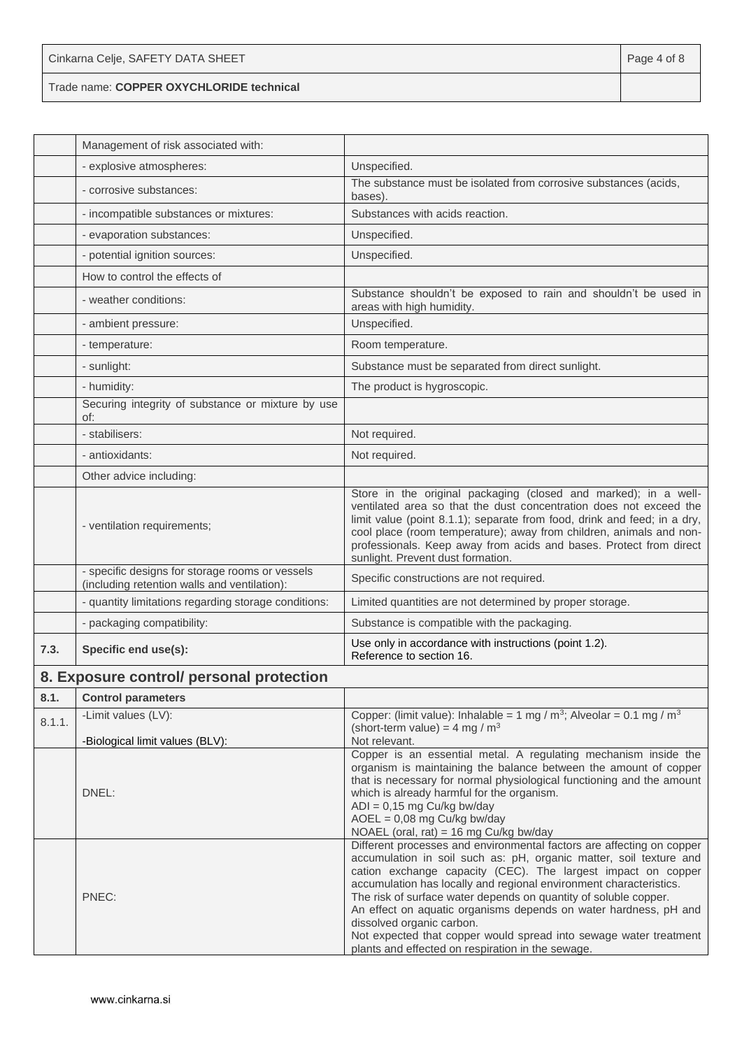| Cinkarna Celje, SAFETY DATA SHEET        | Page 4 of 8 |
|------------------------------------------|-------------|
| Trade name: COPPER OXYCHLORIDE technical |             |

|        | Management of risk associated with:                                                             |                                                                                                                                                                                                                                                                                                                                                                                                                                                        |
|--------|-------------------------------------------------------------------------------------------------|--------------------------------------------------------------------------------------------------------------------------------------------------------------------------------------------------------------------------------------------------------------------------------------------------------------------------------------------------------------------------------------------------------------------------------------------------------|
|        | - explosive atmospheres:                                                                        | Unspecified.                                                                                                                                                                                                                                                                                                                                                                                                                                           |
|        | - corrosive substances:                                                                         | The substance must be isolated from corrosive substances (acids,<br>bases).                                                                                                                                                                                                                                                                                                                                                                            |
|        | - incompatible substances or mixtures:                                                          | Substances with acids reaction.                                                                                                                                                                                                                                                                                                                                                                                                                        |
|        | - evaporation substances:                                                                       | Unspecified.                                                                                                                                                                                                                                                                                                                                                                                                                                           |
|        | - potential ignition sources:                                                                   | Unspecified.                                                                                                                                                                                                                                                                                                                                                                                                                                           |
|        | How to control the effects of                                                                   |                                                                                                                                                                                                                                                                                                                                                                                                                                                        |
|        | - weather conditions:                                                                           | Substance shouldn't be exposed to rain and shouldn't be used in<br>areas with high humidity.                                                                                                                                                                                                                                                                                                                                                           |
|        | - ambient pressure:                                                                             | Unspecified.                                                                                                                                                                                                                                                                                                                                                                                                                                           |
|        | - temperature:                                                                                  | Room temperature.                                                                                                                                                                                                                                                                                                                                                                                                                                      |
|        | - sunlight:                                                                                     | Substance must be separated from direct sunlight.                                                                                                                                                                                                                                                                                                                                                                                                      |
|        | - humidity:                                                                                     | The product is hygroscopic.                                                                                                                                                                                                                                                                                                                                                                                                                            |
|        | Securing integrity of substance or mixture by use<br>of:                                        |                                                                                                                                                                                                                                                                                                                                                                                                                                                        |
|        | - stabilisers:                                                                                  | Not required.                                                                                                                                                                                                                                                                                                                                                                                                                                          |
|        | - antioxidants:                                                                                 | Not required.                                                                                                                                                                                                                                                                                                                                                                                                                                          |
|        | Other advice including:                                                                         |                                                                                                                                                                                                                                                                                                                                                                                                                                                        |
|        | - ventilation requirements;                                                                     | Store in the original packaging (closed and marked); in a well-<br>ventilated area so that the dust concentration does not exceed the<br>limit value (point 8.1.1); separate from food, drink and feed; in a dry,<br>cool place (room temperature); away from children, animals and non-<br>professionals. Keep away from acids and bases. Protect from direct<br>sunlight. Prevent dust formation.                                                    |
|        | - specific designs for storage rooms or vessels<br>(including retention walls and ventilation): | Specific constructions are not required.                                                                                                                                                                                                                                                                                                                                                                                                               |
|        | - quantity limitations regarding storage conditions:                                            | Limited quantities are not determined by proper storage.                                                                                                                                                                                                                                                                                                                                                                                               |
|        | - packaging compatibility:                                                                      | Substance is compatible with the packaging.                                                                                                                                                                                                                                                                                                                                                                                                            |
| 7.3.   | Specific end use(s):                                                                            | Use only in accordance with instructions (point 1.2).<br>Reference to section 16.                                                                                                                                                                                                                                                                                                                                                                      |
|        | 8. Exposure control/ personal protection                                                        |                                                                                                                                                                                                                                                                                                                                                                                                                                                        |
| 8.1.   | <b>Control parameters</b>                                                                       |                                                                                                                                                                                                                                                                                                                                                                                                                                                        |
| 8.1.1. | -Limit values (LV):                                                                             | Copper: (limit value): Inhalable = 1 mg / $m^3$ ; Alveolar = 0.1 mg / $m^3$                                                                                                                                                                                                                                                                                                                                                                            |
|        | -Biological limit values (BLV):                                                                 | (short-term value) = $4 \text{ mg} / \text{m}^3$<br>Not relevant.                                                                                                                                                                                                                                                                                                                                                                                      |
|        | DNEL:                                                                                           | Copper is an essential metal. A regulating mechanism inside the<br>organism is maintaining the balance between the amount of copper<br>that is necessary for normal physiological functioning and the amount<br>which is already harmful for the organism.<br>$ADI = 0,15$ mg Cu/kg bw/day<br>$AOEL = 0.08$ mg Cu/kg bw/day<br>NOAEL (oral, rat) = 16 mg Cu/kg bw/day                                                                                  |
|        | PNEC:                                                                                           | Different processes and environmental factors are affecting on copper<br>accumulation in soil such as: pH, organic matter, soil texture and<br>cation exchange capacity (CEC). The largest impact on copper<br>accumulation has locally and regional environment characteristics.<br>The risk of surface water depends on quantity of soluble copper.<br>An effect on aquatic organisms depends on water hardness, pH and<br>dissolved organic carbon. |

Not expected that copper would spread into sewage water treatment plants and effected on respiration in the sewage.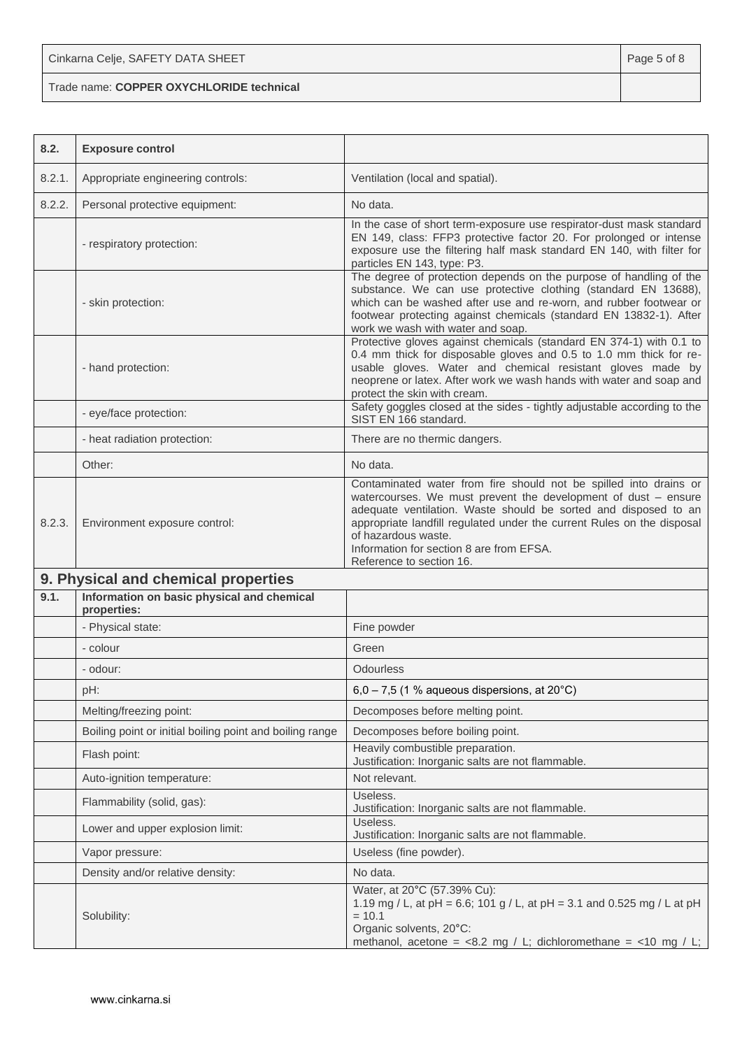Cinkarna Celje, SAFETY DATA SHEET **Page 5 of 8** and 2011 12 and 2012 12 and 2012 12 and 2012 12 and 2012 12 and 201

Trade name: **COPPER OXYCHLORIDE technical**

| 8.2.   | <b>Exposure control</b>                                   |                                                                                                                                                                                                                                                                                                                                                                                 |
|--------|-----------------------------------------------------------|---------------------------------------------------------------------------------------------------------------------------------------------------------------------------------------------------------------------------------------------------------------------------------------------------------------------------------------------------------------------------------|
| 8.2.1. | Appropriate engineering controls:                         | Ventilation (local and spatial).                                                                                                                                                                                                                                                                                                                                                |
| 8.2.2. | Personal protective equipment:                            | No data.                                                                                                                                                                                                                                                                                                                                                                        |
|        | - respiratory protection:                                 | In the case of short term-exposure use respirator-dust mask standard<br>EN 149, class: FFP3 protective factor 20. For prolonged or intense<br>exposure use the filtering half mask standard EN 140, with filter for<br>particles EN 143, type: P3.                                                                                                                              |
|        | - skin protection:                                        | The degree of protection depends on the purpose of handling of the<br>substance. We can use protective clothing (standard EN 13688),<br>which can be washed after use and re-worn, and rubber footwear or<br>footwear protecting against chemicals (standard EN 13832-1). After<br>work we wash with water and soap.                                                            |
|        | - hand protection:                                        | Protective gloves against chemicals (standard EN 374-1) with 0.1 to<br>0.4 mm thick for disposable gloves and 0.5 to 1.0 mm thick for re-<br>usable gloves. Water and chemical resistant gloves made by<br>neoprene or latex. After work we wash hands with water and soap and<br>protect the skin with cream.                                                                  |
|        | - eye/face protection:                                    | Safety goggles closed at the sides - tightly adjustable according to the<br>SIST EN 166 standard.                                                                                                                                                                                                                                                                               |
|        | - heat radiation protection:                              | There are no thermic dangers.                                                                                                                                                                                                                                                                                                                                                   |
|        | Other:                                                    | No data.                                                                                                                                                                                                                                                                                                                                                                        |
| 8.2.3. | Environment exposure control:                             | Contaminated water from fire should not be spilled into drains or<br>watercourses. We must prevent the development of dust - ensure<br>adequate ventilation. Waste should be sorted and disposed to an<br>appropriate landfill regulated under the current Rules on the disposal<br>of hazardous waste.<br>Information for section 8 are from EFSA.<br>Reference to section 16. |
|        | 9. Physical and chemical properties                       |                                                                                                                                                                                                                                                                                                                                                                                 |
| 9.1.   | Information on basic physical and chemical<br>properties: |                                                                                                                                                                                                                                                                                                                                                                                 |
|        | - Physical state:                                         | Fine powder                                                                                                                                                                                                                                                                                                                                                                     |
|        | - colour                                                  | Green                                                                                                                                                                                                                                                                                                                                                                           |
|        | - odour:                                                  | <b>Odourless</b>                                                                                                                                                                                                                                                                                                                                                                |
|        | pH:                                                       | $6,0 - 7,5$ (1 % aqueous dispersions, at 20 $^{\circ}$ C)                                                                                                                                                                                                                                                                                                                       |
|        | Melting/freezing point:                                   | Decomposes before melting point.                                                                                                                                                                                                                                                                                                                                                |
|        | Boiling point or initial boiling point and boiling range  | Decomposes before boiling point.                                                                                                                                                                                                                                                                                                                                                |
|        | Flash point:                                              | Heavily combustible preparation.<br>Justification: Inorganic salts are not flammable.                                                                                                                                                                                                                                                                                           |
|        | Auto-ignition temperature:                                | Not relevant.                                                                                                                                                                                                                                                                                                                                                                   |
|        | Flammability (solid, gas):                                | Useless.<br>Justification: Inorganic salts are not flammable.                                                                                                                                                                                                                                                                                                                   |
|        | Lower and upper explosion limit:                          | Useless.<br>Justification: Inorganic salts are not flammable.                                                                                                                                                                                                                                                                                                                   |
|        | Vapor pressure:                                           | Useless (fine powder).                                                                                                                                                                                                                                                                                                                                                          |
|        | Density and/or relative density:                          | No data.                                                                                                                                                                                                                                                                                                                                                                        |
|        | Solubility:                                               | Water, at 20°C (57.39% Cu):<br>1.19 mg / L, at pH = 6.6; 101 g / L, at pH = 3.1 and 0.525 mg / L at pH<br>$= 10.1$<br>Organic solvents, 20°C:<br>methanol, acetone = $<8.2$ mg / L; dichloromethane = $<10$ mg / L;                                                                                                                                                             |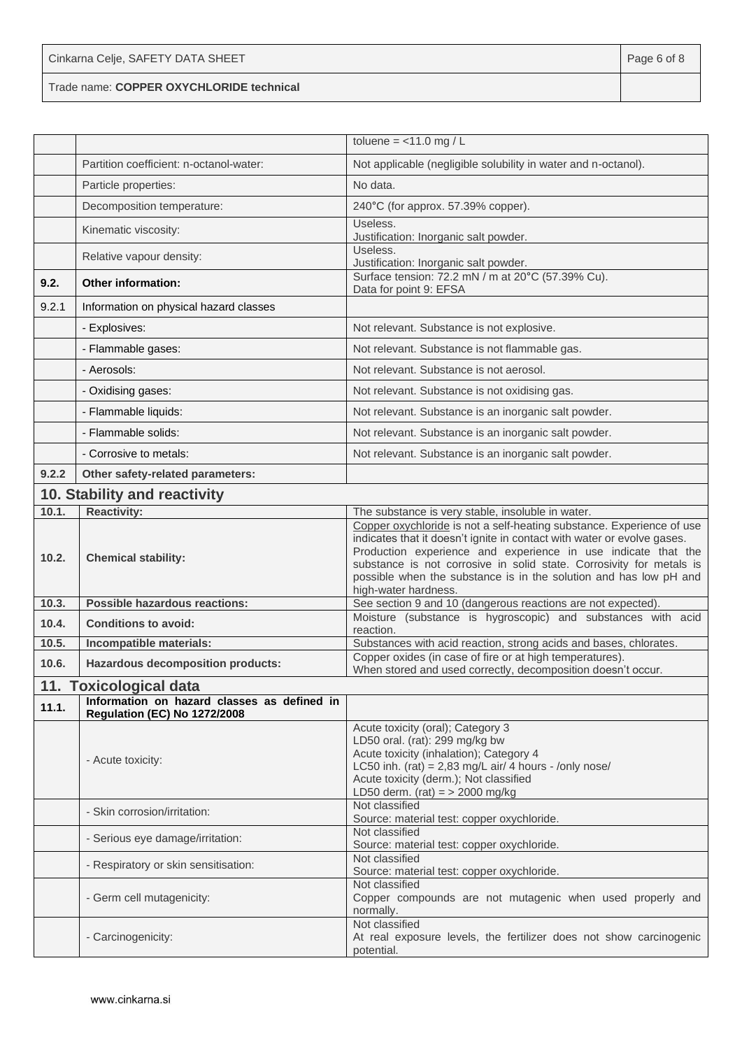Trade name: **COPPER OXYCHLORIDE technical**

|       |                                                                                    | toluene = $<$ 11.0 mg / L                                                                                                                                                                                                                                                                                                                                                              |
|-------|------------------------------------------------------------------------------------|----------------------------------------------------------------------------------------------------------------------------------------------------------------------------------------------------------------------------------------------------------------------------------------------------------------------------------------------------------------------------------------|
|       | Partition coefficient: n-octanol-water:                                            | Not applicable (negligible solubility in water and n-octanol).                                                                                                                                                                                                                                                                                                                         |
|       | Particle properties:                                                               | No data.                                                                                                                                                                                                                                                                                                                                                                               |
|       | Decomposition temperature:                                                         | 240°C (for approx. 57.39% copper).                                                                                                                                                                                                                                                                                                                                                     |
|       | Kinematic viscosity:                                                               | Useless.<br>Justification: Inorganic salt powder.                                                                                                                                                                                                                                                                                                                                      |
|       | Relative vapour density:                                                           | Useless.<br>Justification: Inorganic salt powder.                                                                                                                                                                                                                                                                                                                                      |
| 9.2.  | <b>Other information:</b>                                                          | Surface tension: 72.2 mN / m at 20°C (57.39% Cu).<br>Data for point 9: EFSA                                                                                                                                                                                                                                                                                                            |
| 9.2.1 | Information on physical hazard classes                                             |                                                                                                                                                                                                                                                                                                                                                                                        |
|       | - Explosives:                                                                      | Not relevant. Substance is not explosive.                                                                                                                                                                                                                                                                                                                                              |
|       | - Flammable gases:                                                                 | Not relevant. Substance is not flammable gas.                                                                                                                                                                                                                                                                                                                                          |
|       | - Aerosols:                                                                        | Not relevant. Substance is not aerosol.                                                                                                                                                                                                                                                                                                                                                |
|       | - Oxidising gases:                                                                 | Not relevant. Substance is not oxidising gas.                                                                                                                                                                                                                                                                                                                                          |
|       | - Flammable liquids:                                                               | Not relevant. Substance is an inorganic salt powder.                                                                                                                                                                                                                                                                                                                                   |
|       | - Flammable solids:                                                                | Not relevant. Substance is an inorganic salt powder.                                                                                                                                                                                                                                                                                                                                   |
|       | - Corrosive to metals:                                                             | Not relevant. Substance is an inorganic salt powder.                                                                                                                                                                                                                                                                                                                                   |
| 9.2.2 | Other safety-related parameters:                                                   |                                                                                                                                                                                                                                                                                                                                                                                        |
|       | 10. Stability and reactivity                                                       |                                                                                                                                                                                                                                                                                                                                                                                        |
| 10.1. | <b>Reactivity:</b>                                                                 | The substance is very stable, insoluble in water.                                                                                                                                                                                                                                                                                                                                      |
| 10.2. | <b>Chemical stability:</b>                                                         | Copper oxychloride is not a self-heating substance. Experience of use<br>indicates that it doesn't ignite in contact with water or evolve gases.<br>Production experience and experience in use indicate that the<br>substance is not corrosive in solid state. Corrosivity for metals is<br>possible when the substance is in the solution and has low pH and<br>high-water hardness. |
| 10.3. | Possible hazardous reactions:                                                      | See section 9 and 10 (dangerous reactions are not expected).                                                                                                                                                                                                                                                                                                                           |
| 10.4. | <b>Conditions to avoid:</b>                                                        | Moisture (substance is hygroscopic) and substances with acid<br>reaction.                                                                                                                                                                                                                                                                                                              |
| 10.5. | Incompatible materials:                                                            | Substances with acid reaction, strong acids and bases, chlorates.                                                                                                                                                                                                                                                                                                                      |
| 10.6. | <b>Hazardous decomposition products:</b>                                           | Copper oxides (in case of fire or at high temperatures).<br>When stored and used correctly, decomposition doesn't occur.                                                                                                                                                                                                                                                               |
|       | 11. Toxicological data                                                             |                                                                                                                                                                                                                                                                                                                                                                                        |
| 11.1. | Information on hazard classes as defined in<br><b>Regulation (EC) No 1272/2008</b> |                                                                                                                                                                                                                                                                                                                                                                                        |
|       | - Acute toxicity:                                                                  | Acute toxicity (oral); Category 3<br>LD50 oral. (rat): 299 mg/kg bw<br>Acute toxicity (inhalation); Category 4<br>LC50 inh. (rat) = $2,83$ mg/L air/ 4 hours - /only nose/<br>Acute toxicity (derm.); Not classified<br>LD50 derm. (rat) = $>$ 2000 mg/kg                                                                                                                              |
|       | - Skin corrosion/irritation:                                                       | Not classified<br>Source: material test: copper oxychloride.                                                                                                                                                                                                                                                                                                                           |
|       | - Serious eye damage/irritation:                                                   | Not classified<br>Source: material test: copper oxychloride.                                                                                                                                                                                                                                                                                                                           |
|       | - Respiratory or skin sensitisation:                                               | Not classified<br>Source: material test: copper oxychloride.                                                                                                                                                                                                                                                                                                                           |
|       | - Germ cell mutagenicity:                                                          | Not classified<br>Copper compounds are not mutagenic when used properly and<br>normally.                                                                                                                                                                                                                                                                                               |
|       | - Carcinogenicity:                                                                 | Not classified<br>At real exposure levels, the fertilizer does not show carcinogenic<br>potential.                                                                                                                                                                                                                                                                                     |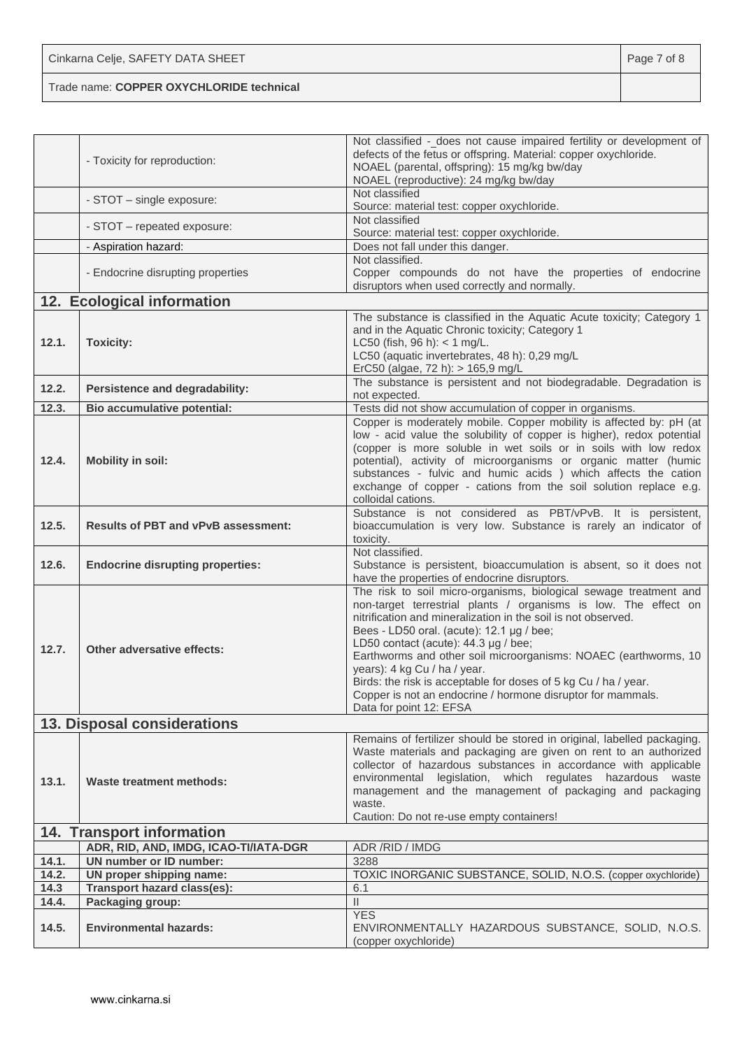| Cinkarna Celje, SAFETY DATA SHEET        | Page 7 of 8 |
|------------------------------------------|-------------|
| Trade name: COPPER OXYCHLORIDE technical |             |

|               | - Toxicity for reproduction:               | Not classified - does not cause impaired fertility or development of<br>defects of the fetus or offspring. Material: copper oxychloride.<br>NOAEL (parental, offspring): 15 mg/kg bw/day<br>NOAEL (reproductive): 24 mg/kg bw/day                                                                                                                                                                                                                                                                                                                          |
|---------------|--------------------------------------------|------------------------------------------------------------------------------------------------------------------------------------------------------------------------------------------------------------------------------------------------------------------------------------------------------------------------------------------------------------------------------------------------------------------------------------------------------------------------------------------------------------------------------------------------------------|
|               | - STOT - single exposure:                  | Not classified<br>Source: material test: copper oxychloride.                                                                                                                                                                                                                                                                                                                                                                                                                                                                                               |
|               | - STOT - repeated exposure:                | Not classified<br>Source: material test: copper oxychloride.                                                                                                                                                                                                                                                                                                                                                                                                                                                                                               |
|               | - Aspiration hazard:                       | Does not fall under this danger.                                                                                                                                                                                                                                                                                                                                                                                                                                                                                                                           |
|               | - Endocrine disrupting properties          | Not classified.<br>Copper compounds do not have the properties of endocrine<br>disruptors when used correctly and normally.                                                                                                                                                                                                                                                                                                                                                                                                                                |
|               | 12. Ecological information                 |                                                                                                                                                                                                                                                                                                                                                                                                                                                                                                                                                            |
| 12.1.         | <b>Toxicity:</b>                           | The substance is classified in the Aquatic Acute toxicity; Category 1<br>and in the Aquatic Chronic toxicity; Category 1<br>LC50 (fish, $96 h$ ): < 1 mg/L.<br>LC50 (aquatic invertebrates, 48 h): 0,29 mg/L<br>ErC50 (algae, 72 h): > 165,9 mg/L                                                                                                                                                                                                                                                                                                          |
| 12.2.         | Persistence and degradability:             | The substance is persistent and not biodegradable. Degradation is<br>not expected.                                                                                                                                                                                                                                                                                                                                                                                                                                                                         |
| 12.3.         | Bio accumulative potential:                | Tests did not show accumulation of copper in organisms.                                                                                                                                                                                                                                                                                                                                                                                                                                                                                                    |
| 12.4.         | <b>Mobility in soil:</b>                   | Copper is moderately mobile. Copper mobility is affected by: pH (at<br>low - acid value the solubility of copper is higher), redox potential<br>(copper is more soluble in wet soils or in soils with low redox<br>potential), activity of microorganisms or organic matter (humic<br>substances - fulvic and humic acids ) which affects the cation<br>exchange of copper - cations from the soil solution replace e.g.<br>colloidal cations.                                                                                                             |
| 12.5.         | <b>Results of PBT and vPvB assessment:</b> | Substance is not considered as PBT/vPvB. It is persistent,<br>bioaccumulation is very low. Substance is rarely an indicator of<br>toxicity.                                                                                                                                                                                                                                                                                                                                                                                                                |
| 12.6.         | <b>Endocrine disrupting properties:</b>    | Not classified.<br>Substance is persistent, bioaccumulation is absent, so it does not<br>have the properties of endocrine disruptors.                                                                                                                                                                                                                                                                                                                                                                                                                      |
| 12.7.         | Other adversative effects:                 | The risk to soil micro-organisms, biological sewage treatment and<br>non-target terrestrial plants / organisms is low. The effect on<br>nitrification and mineralization in the soil is not observed.<br>Bees - LD50 oral. (acute): 12.1 µg / bee;<br>LD50 contact (acute): 44.3 µg / bee;<br>Earthworms and other soil microorganisms: NOAEC (earthworms, 10<br>years): 4 kg Cu / ha / year.<br>Birds: the risk is acceptable for doses of 5 kg Cu / ha / year.<br>Copper is not an endocrine / hormone disruptor for mammals.<br>Data for point 12: EFSA |
|               | 13. Disposal considerations                |                                                                                                                                                                                                                                                                                                                                                                                                                                                                                                                                                            |
| 13.1.         | Waste treatment methods:                   | Remains of fertilizer should be stored in original, labelled packaging.<br>Waste materials and packaging are given on rent to an authorized<br>collector of hazardous substances in accordance with applicable<br>environmental legislation, which regulates hazardous waste<br>management and the management of packaging and packaging<br>waste.<br>Caution: Do not re-use empty containers!                                                                                                                                                             |
|               | 14. Transport information                  |                                                                                                                                                                                                                                                                                                                                                                                                                                                                                                                                                            |
|               | ADR, RID, AND, IMDG, ICAO-TI/IATA-DGR      | ADR / RID / IMDG                                                                                                                                                                                                                                                                                                                                                                                                                                                                                                                                           |
| 14.1.         | <b>UN number or ID number:</b>             | 3288                                                                                                                                                                                                                                                                                                                                                                                                                                                                                                                                                       |
| 14.2.         | UN proper shipping name:                   | TOXIC INORGANIC SUBSTANCE, SOLID, N.O.S. (copper oxychloride)                                                                                                                                                                                                                                                                                                                                                                                                                                                                                              |
| 14.3<br>14.4. | <b>Transport hazard class(es):</b>         | 6.1<br>Ш                                                                                                                                                                                                                                                                                                                                                                                                                                                                                                                                                   |
|               | Packaging group:                           | <b>YES</b>                                                                                                                                                                                                                                                                                                                                                                                                                                                                                                                                                 |
| 14.5.         | <b>Environmental hazards:</b>              | ENVIRONMENTALLY HAZARDOUS SUBSTANCE, SOLID, N.O.S.<br>(copper oxychloride)                                                                                                                                                                                                                                                                                                                                                                                                                                                                                 |